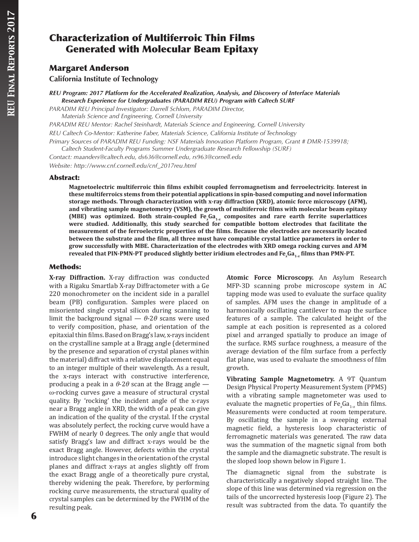# Characterization of Multiferroic Thin Films Generated with Molecular Beam Epitaxy

## Margaret Anderson

**California Institute of Technology**

*REU Program: 2017 Platform for the Accelerated Realization, Analysis, and Discovery of Interface Materials Research Experience for Undergraduates (PARADIM REU) Program with Caltech SURF*

*PARADIM REU Principal Investigator: Darrell Schlom, PARADIM Director,* 

*Materials Science and Engineering, Cornell University*

*PARADIM REU Mentor: Rachel Steinhardt, Materials Science and Engineering, Cornell University*

*REU Caltech Co-Mentor: Katherine Faber, Materials Science, California Institute of Technology*

*Primary Sources of PARADIM REU Funding: NSF Materials Innovation Platform Program, Grant # DMR-1539918; Caltech Student-Faculty Programs Summer Undergraduate Research Fellowship (SURF)*

*Contact: maanders@caltech.edu, ds636@cornell.edu, rs963@cornell.edu Website: http://www.cnf.cornell.edu/cnf\_2017reu.html*

#### Abstract:

**Magnetoelectric multiferroic thin films exhibit coupled ferromagnetism and ferroelectricity. Interest in these multiferroics stems from their potential applications in spin-based computing and novel information storage methods. Through characterization with x-ray diffraction (XRD), atomic force microscopy (AFM), and vibrating sample magnetometry (VSM), the growth of multiferroic films with molecular beam epitaxy**  (MBE) was optimized. Both strain-coupled  $Fe<sub>x</sub>Ga<sub>1-x</sub>$  composites and rare earth ferrite superlattices **were studied. Additionally, this study searched for compatible bottom electrodes that facilitate the measurement of the ferroelectric properties of the films. Because the electrodes are necessarily located between the substrate and the film, all three must have compatible crystal lattice parameters in order to grow successfully with MBE. Characterization of the electrodes with XRD omega rocking curves and AFM**  revealed that PIN-PMN-PT produced slightly better iridium electrodes and Fe<sub>*x*</sub>Ga<sub>1-x</sub> films than PMN-PT.

### Methods:

**X-ray Diffraction.** X-ray diffraction was conducted with a Rigaku Smartlab X-ray Diffractometer with a Ge 220 monochrometer on the incident side in a parallel beam (PB) configuration. Samples were placed on misoriented single crystal silicon during scanning to limit the background signal  $-\theta$ -2 $\theta$  scans were used to verify composition, phase, and orientation of the epitaxial thin films. Based on Bragg's law, x-rays incident on the crystalline sample at a Bragg angle (determined by the presence and separation of crystal planes within the material) diffract with a relative displacement equal to an integer multiple of their wavelength. As a result, the x-rays interact with constructive interference, producing a peak in a  $\theta$ -2 $\theta$  scan at the Bragg angle w-rocking curves gave a measure of structural crystal quality. By 'rocking' the incident angle of the x-rays near a Bragg angle in XRD, the width of a peak can give an indication of the quality of the crystal. If the crystal was absolutely perfect, the rocking curve would have a FWHM of nearly 0 degrees. The only angle that would satisfy Bragg's law and diffract x-rays would be the exact Bragg angle. However, defects within the crystal introduce slight changes in the orientation of the crystal planes and diffract x-rays at angles slightly off from the exact Bragg angle of a theoretically pure crystal, thereby widening the peak. Therefore, by performing rocking curve measurements, the structural quality of crystal samples can be determined by the FWHM of the resulting peak.

**Atomic Force Microscopy.** An Asylum Research MFP-3D scanning probe microscope system in AC tapping mode was used to evaluate the surface quality of samples. AFM uses the change in amplitude of a harmonically oscillating cantilever to map the surface features of a sample. The calculated height of the sample at each position is represented as a colored pixel and arranged spatially to produce an image of the surface. RMS surface roughness, a measure of the average deviation of the film surface from a perfectly flat plane, was used to evaluate the smoothness of film growth.

**Vibrating Sample Magnetometry.** A 9T Quantum Design Physical Property Measurement System (PPMS) with a vibrating sample magnetometer was used to evaluate the magnetic properties of Fe<sub>x</sub>Ga<sub>1-x</sub> thin films. Measurements were conducted at room temperature. By oscillating the sample in a sweeping external magnetic field, a hysteresis loop characteristic of ferromagnetic materials was generated. The raw data was the summation of the magnetic signal from both the sample and the diamagnetic substrate. The result is the sloped loop shown below in Figure 1.

The diamagnetic signal from the substrate is characteristically a negatively sloped straight line. The slope of this line was determined via regression on the tails of the uncorrected hysteresis loop (Figure 2). The result was subtracted from the data. To quantify the